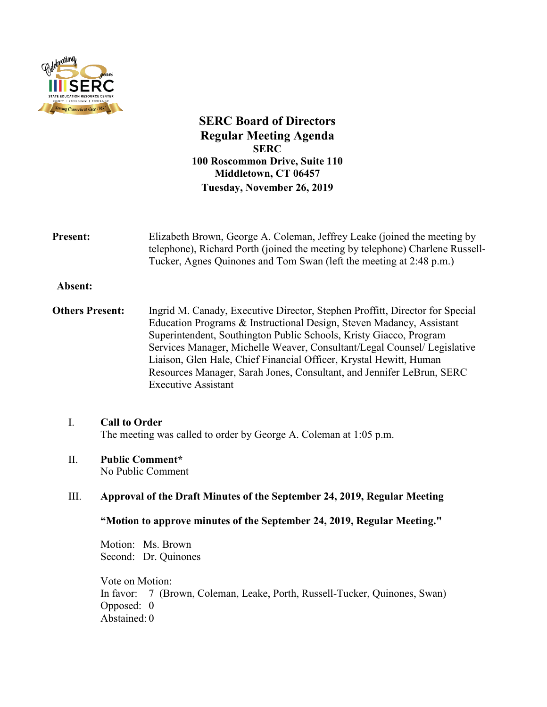

**SERC Board of Directors Regular Meeting Agenda SERC 100 Roscommon Drive, Suite 110 Middletown, CT 06457 Tuesday, November 26, 2019**

| <b>Present:</b>        | Elizabeth Brown, George A. Coleman, Jeffrey Leake (joined the meeting by<br>telephone), Richard Porth (joined the meeting by telephone) Charlene Russell-<br>Tucker, Agnes Quinones and Tom Swan (left the meeting at 2:48 p.m.)                                                                                                                                                                                                                                                    |
|------------------------|-------------------------------------------------------------------------------------------------------------------------------------------------------------------------------------------------------------------------------------------------------------------------------------------------------------------------------------------------------------------------------------------------------------------------------------------------------------------------------------|
| Absent:                |                                                                                                                                                                                                                                                                                                                                                                                                                                                                                     |
| <b>Others Present:</b> | Ingrid M. Canady, Executive Director, Stephen Proffitt, Director for Special<br>Education Programs & Instructional Design, Steven Madancy, Assistant<br>Superintendent, Southington Public Schools, Kristy Giacco, Program<br>Services Manager, Michelle Weaver, Consultant/Legal Counsel/ Legislative<br>Liaison, Glen Hale, Chief Financial Officer, Krystal Hewitt, Human<br>Resources Manager, Sarah Jones, Consultant, and Jennifer LeBrun, SERC<br><b>Executive Assistant</b> |
| I.                     | <b>Call to Order</b><br>The meeting was called to order by George A. Coleman at 1:05 p.m.                                                                                                                                                                                                                                                                                                                                                                                           |
| Π.                     | <b>Public Comment*</b><br>No Public Comment                                                                                                                                                                                                                                                                                                                                                                                                                                         |
| Ш.                     | Approval of the Draft Minutes of the September 24, 2019, Regular Meeting                                                                                                                                                                                                                                                                                                                                                                                                            |

**"Motion to approve minutes of the September 24, 2019, Regular Meeting."**

Motion: Ms. Brown Second: Dr. Quinones

Vote on Motion: In favor: 7 (Brown, Coleman, Leake, Porth, Russell-Tucker, Quinones, Swan) Opposed: 0 Abstained: 0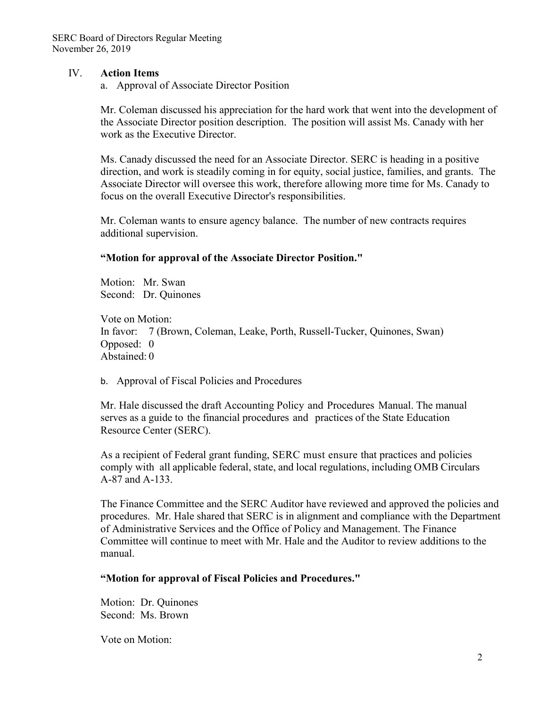### IV. **Action Items**

a. Approval of Associate Director Position

Mr. Coleman discussed his appreciation for the hard work that went into the development of the Associate Director position description. The position will assist Ms. Canady with her work as the Executive Director.

Ms. Canady discussed the need for an Associate Director. SERC is heading in a positive direction, and work is steadily coming in for equity, social justice, families, and grants. The Associate Director will oversee this work, therefore allowing more time for Ms. Canady to focus on the overall Executive Director's responsibilities.

Mr. Coleman wants to ensure agency balance. The number of new contracts requires additional supervision.

#### **"Motion for approval of the Associate Director Position."**

Motion: Mr. Swan Second: Dr. Quinones

Vote on Motion: In favor: 7 (Brown, Coleman, Leake, Porth, Russell-Tucker, Quinones, Swan) Opposed: 0 Abstained: 0

b. Approval of Fiscal Policies and Procedures

Mr. Hale discussed the draft Accounting Policy and Procedures Manual. The manual serves as a guide to the financial procedures and practices of the State Education Resource Center (SERC).

As a recipient of Federal grant funding, SERC must ensure that practices and policies comply with all applicable federal, state, and local regulations, including OMB Circulars A-87 and A-133.

The Finance Committee and the SERC Auditor have reviewed and approved the policies and procedures. Mr. Hale shared that SERC is in alignment and compliance with the Department of Administrative Services and the Office of Policy and Management. The Finance Committee will continue to meet with Mr. Hale and the Auditor to review additions to the manual.

### **"Motion for approval of Fiscal Policies and Procedures."**

Motion: Dr. Quinones Second: Ms. Brown

Vote on Motion: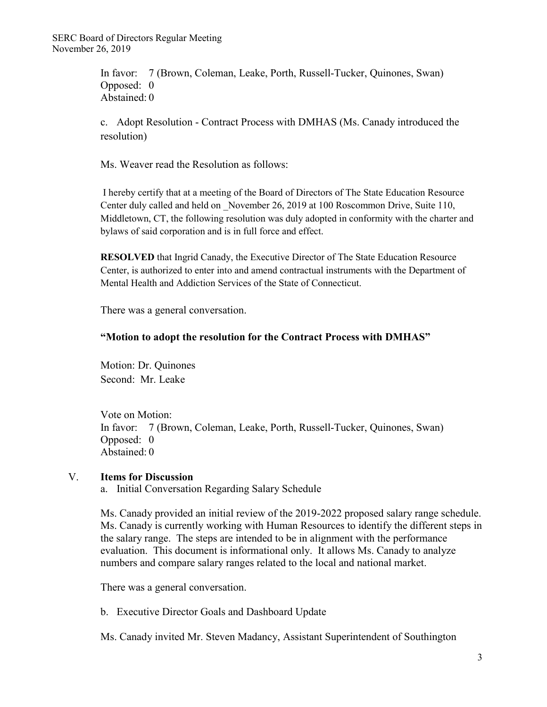In favor: 7 (Brown, Coleman, Leake, Porth, Russell-Tucker, Quinones, Swan) Opposed: 0 Abstained: 0

c. Adopt Resolution - Contract Process with DMHAS (Ms. Canady introduced the resolution)

Ms. Weaver read the Resolution as follows:

I hereby certify that at a meeting of the Board of Directors of The State Education Resource Center duly called and held on \_November 26, 2019 at 100 Roscommon Drive, Suite 110, Middletown, CT, the following resolution was duly adopted in conformity with the charter and bylaws of said corporation and is in full force and effect.

**RESOLVED** that Ingrid Canady, the Executive Director of The State Education Resource Center, is authorized to enter into and amend contractual instruments with the Department of Mental Health and Addiction Services of the State of Connecticut.

There was a general conversation.

## **"Motion to adopt the resolution for the Contract Process with DMHAS"**

Motion: Dr. Quinones Second: Mr. Leake

Vote on Motion: In favor: 7 (Brown, Coleman, Leake, Porth, Russell-Tucker, Quinones, Swan) Opposed: 0 Abstained: 0

# V. **Items for Discussion**

a. Initial Conversation Regarding Salary Schedule

Ms. Canady provided an initial review of the 2019-2022 proposed salary range schedule. Ms. Canady is currently working with Human Resources to identify the different steps in the salary range. The steps are intended to be in alignment with the performance evaluation. This document is informational only. It allows Ms. Canady to analyze numbers and compare salary ranges related to the local and national market.

There was a general conversation.

b. Executive Director Goals and Dashboard Update

Ms. Canady invited Mr. Steven Madancy, Assistant Superintendent of Southington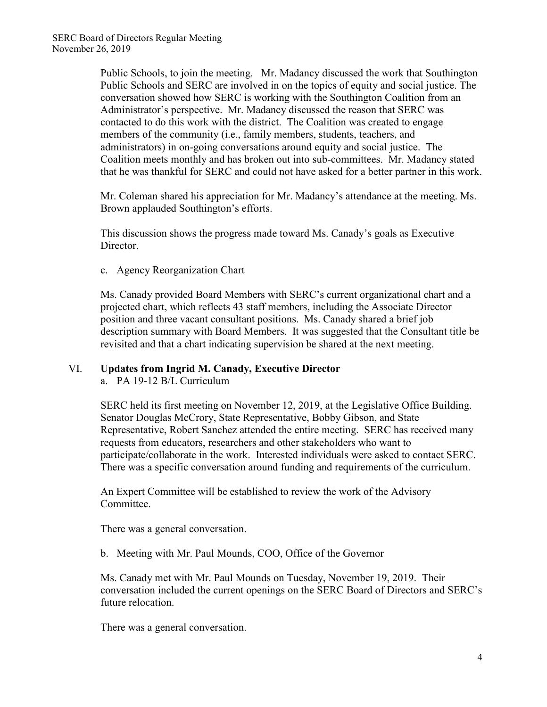Public Schools, to join the meeting. Mr. Madancy discussed the work that Southington Public Schools and SERC are involved in on the topics of equity and social justice. The conversation showed how SERC is working with the Southington Coalition from an Administrator's perspective. Mr. Madancy discussed the reason that SERC was contacted to do this work with the district. The Coalition was created to engage members of the community (i.e., family members, students, teachers, and administrators) in on-going conversations around equity and social justice. The Coalition meets monthly and has broken out into sub-committees. Mr. Madancy stated that he was thankful for SERC and could not have asked for a better partner in this work.

Mr. Coleman shared his appreciation for Mr. Madancy's attendance at the meeting. Ms. Brown applauded Southington's efforts.

This discussion shows the progress made toward Ms. Canady's goals as Executive Director.

c. Agency Reorganization Chart

Ms. Canady provided Board Members with SERC's current organizational chart and a projected chart, which reflects 43 staff members, including the Associate Director position and three vacant consultant positions. Ms. Canady shared a brief job description summary with Board Members. It was suggested that the Consultant title be revisited and that a chart indicating supervision be shared at the next meeting.

### VI. **Updates from Ingrid M. Canady, Executive Director**

a. PA 19-12 B/L Curriculum

SERC held its first meeting on November 12, 2019, at the Legislative Office Building. Senator Douglas McCrory, State Representative, Bobby Gibson, and State Representative, Robert Sanchez attended the entire meeting. SERC has received many requests from educators, researchers and other stakeholders who want to participate/collaborate in the work. Interested individuals were asked to contact SERC. There was a specific conversation around funding and requirements of the curriculum.

An Expert Committee will be established to review the work of the Advisory Committee.

There was a general conversation.

b. Meeting with Mr. Paul Mounds, COO, Office of the Governor

Ms. Canady met with Mr. Paul Mounds on Tuesday, November 19, 2019. Their conversation included the current openings on the SERC Board of Directors and SERC's future relocation.

There was a general conversation.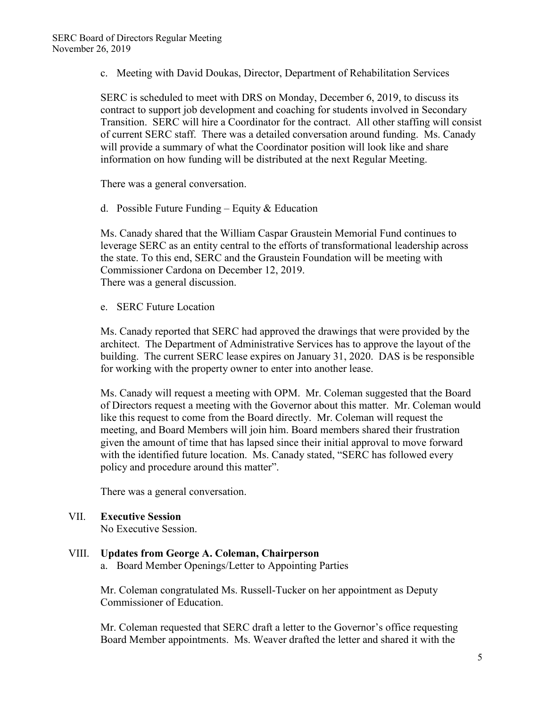c. Meeting with David Doukas, Director, Department of Rehabilitation Services

SERC is scheduled to meet with DRS on Monday, December 6, 2019, to discuss its contract to support job development and coaching for students involved in Secondary Transition. SERC will hire a Coordinator for the contract. All other staffing will consist of current SERC staff. There was a detailed conversation around funding. Ms. Canady will provide a summary of what the Coordinator position will look like and share information on how funding will be distributed at the next Regular Meeting.

There was a general conversation.

d. Possible Future Funding – Equity & Education

Ms. Canady shared that the William Caspar Graustein Memorial Fund continues to leverage SERC as an entity central to the efforts of transformational leadership across the state. To this end, SERC and the Graustein Foundation will be meeting with Commissioner Cardona on December 12, 2019. There was a general discussion.

e. SERC Future Location

Ms. Canady reported that SERC had approved the drawings that were provided by the architect. The Department of Administrative Services has to approve the layout of the building. The current SERC lease expires on January 31, 2020. DAS is be responsible for working with the property owner to enter into another lease.

Ms. Canady will request a meeting with OPM. Mr. Coleman suggested that the Board of Directors request a meeting with the Governor about this matter. Mr. Coleman would like this request to come from the Board directly. Mr. Coleman will request the meeting, and Board Members will join him. Board members shared their frustration given the amount of time that has lapsed since their initial approval to move forward with the identified future location. Ms. Canady stated, "SERC has followed every policy and procedure around this matter".

There was a general conversation.

# VII. **Executive Session**

No Executive Session.

VIII. **Updates from George A. Coleman, Chairperson** a. Board Member Openings/Letter to Appointing Parties

> Mr. Coleman congratulated Ms. Russell-Tucker on her appointment as Deputy Commissioner of Education.

Mr. Coleman requested that SERC draft a letter to the Governor's office requesting Board Member appointments. Ms. Weaver drafted the letter and shared it with the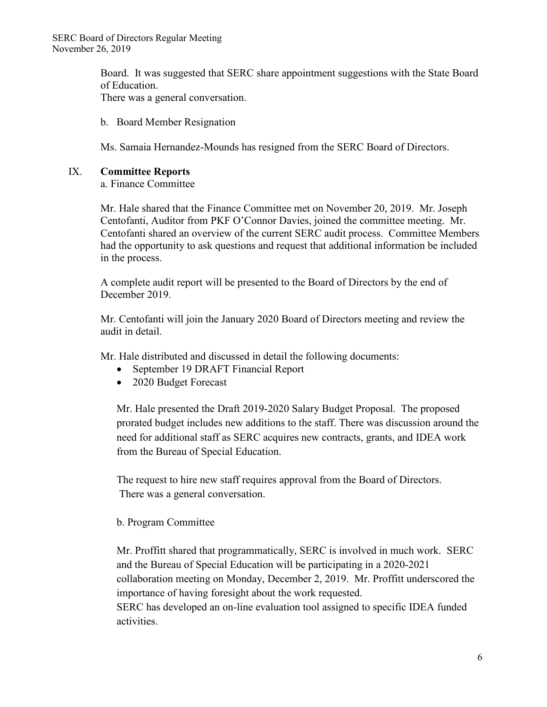Board. It was suggested that SERC share appointment suggestions with the State Board of Education. There was a general conversation.

b. Board Member Resignation

Ms. Samaia Hernandez-Mounds has resigned from the SERC Board of Directors.

## IX. **Committee Reports**

a. Finance Committee

Mr. Hale shared that the Finance Committee met on November 20, 2019. Mr. Joseph Centofanti, Auditor from PKF O'Connor Davies, joined the committee meeting. Mr. Centofanti shared an overview of the current SERC audit process. Committee Members had the opportunity to ask questions and request that additional information be included in the process.

A complete audit report will be presented to the Board of Directors by the end of December 2019.

Mr. Centofanti will join the January 2020 Board of Directors meeting and review the audit in detail.

Mr. Hale distributed and discussed in detail the following documents:

- September 19 DRAFT Financial Report
- 2020 Budget Forecast

Mr. Hale presented the Draft 2019-2020 Salary Budget Proposal. The proposed prorated budget includes new additions to the staff. There was discussion around the need for additional staff as SERC acquires new contracts, grants, and IDEA work from the Bureau of Special Education.

The request to hire new staff requires approval from the Board of Directors. There was a general conversation.

# b. Program Committee

Mr. Proffitt shared that programmatically, SERC is involved in much work. SERC and the Bureau of Special Education will be participating in a 2020-2021 collaboration meeting on Monday, December 2, 2019. Mr. Proffitt underscored the importance of having foresight about the work requested.

SERC has developed an on-line evaluation tool assigned to specific IDEA funded activities.